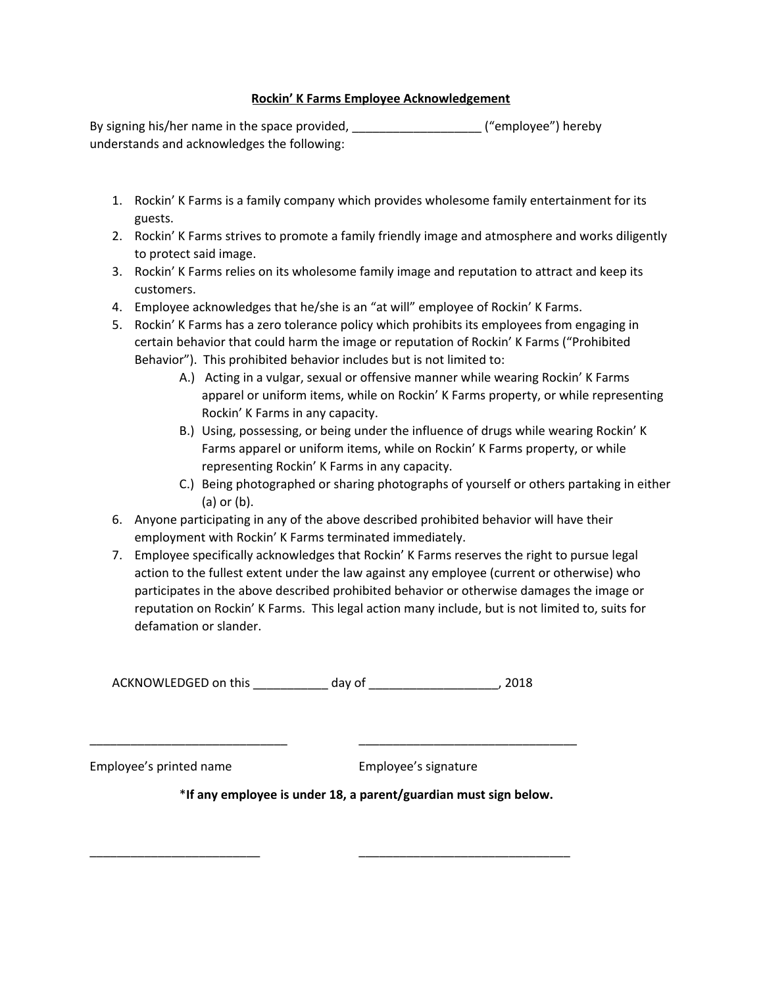## **Rockin' K Farms Employee Acknowledgement**

By signing his/her name in the space provided, etc. The space ("employee") hereby understands and acknowledges the following:

- 1. Rockin' K Farms is a family company which provides wholesome family entertainment for its guests.
- 2. Rockin' K Farms strives to promote a family friendly image and atmosphere and works diligently to protect said image.
- 3. Rockin' K Farms relies on its wholesome family image and reputation to attract and keep its customers.
- 4. Employee acknowledges that he/she is an "at will" employee of Rockin' K Farms.
- 5. Rockin' K Farms has a zero tolerance policy which prohibits its employees from engaging in certain behavior that could harm the image or reputation of Rockin' K Farms ("Prohibited Behavior"). This prohibited behavior includes but is not limited to:
	- A.) Acting in a vulgar, sexual or offensive manner while wearing Rockin' K Farms apparel or uniform items, while on Rockin' K Farms property, or while representing Rockin' K Farms in any capacity.
	- B.) Using, possessing, or being under the influence of drugs while wearing Rockin' K Farms apparel or uniform items, while on Rockin' K Farms property, or while representing Rockin' K Farms in any capacity.
	- C.) Being photographed or sharing photographs of yourself or others partaking in either (a) or (b).
- 6. Anyone participating in any of the above described prohibited behavior will have their employment with Rockin' K Farms terminated immediately.
- 7. Employee specifically acknowledges that Rockin' K Farms reserves the right to pursue legal action to the fullest extent under the law against any employee (current or otherwise) who participates in the above described prohibited behavior or otherwise damages the image or reputation on Rockin' K Farms. This legal action many include, but is not limited to, suits for defamation or slander.

ACKNOWLEDGED on this \_\_\_\_\_\_\_\_\_\_\_\_ day of \_\_\_\_\_\_\_\_\_\_\_\_\_\_\_\_\_\_\_\_\_\_\_\_\_, 2018

\_\_\_\_\_\_\_\_\_\_\_\_\_\_\_\_\_\_\_\_\_\_\_\_\_\_\_\_\_ \_\_\_\_\_\_\_\_\_\_\_\_\_\_\_\_\_\_\_\_\_\_\_\_\_\_\_\_\_\_\_\_

\_\_\_\_\_\_\_\_\_\_\_\_\_\_\_\_\_\_\_\_\_\_\_\_\_ \_\_\_\_\_\_\_\_\_\_\_\_\_\_\_\_\_\_\_\_\_\_\_\_\_\_\_\_\_\_\_

Employee's printed name Employee's signature

\***If any employee is under 18, a parent/guardian must sign below.**